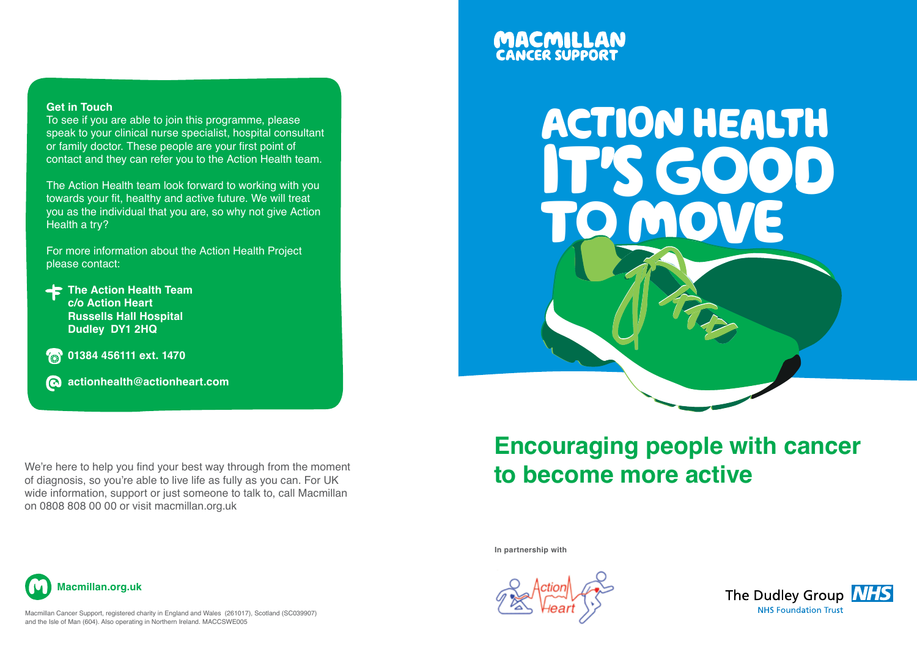#### **Get in Touch**

To see if you are able to join this programme, please speak to your clinical nurse specialist, hospital consultant or family doctor. These people are your first point of contact and they can refer you to the Action Health team.

The Action Health team look forward to working with you towards your fit, healthy and active future. We will treat you as the individual that you are, so why not give Action Health a try?

For more information about the Action Health Project please contact:

**The Action Health Team c/o Action Heart Russells Hall Hospital Dudley DY1 2HQ**

**8** 01384 456111 ext. 1470

**actionhealth@actionheart.com**

We're here to help you find your best way through from the moment of diagnosis, so you're able to live life as fully as you can. For UK wide information, support or just someone to talk to, call Macmillan on 0808 808 00 00 or visit macmillan.org.uk

# **MACMILLAN**<br>CANCER SUPPORT



## **Encouraging people with cancer to become more active**

**In partnership with**





Macmillan Cancer Support, registered charity in England and Wales (261017), Scotland (SC039907) and the Isle of Man (604). Also operating in Northern Ireland. MACCSWE005